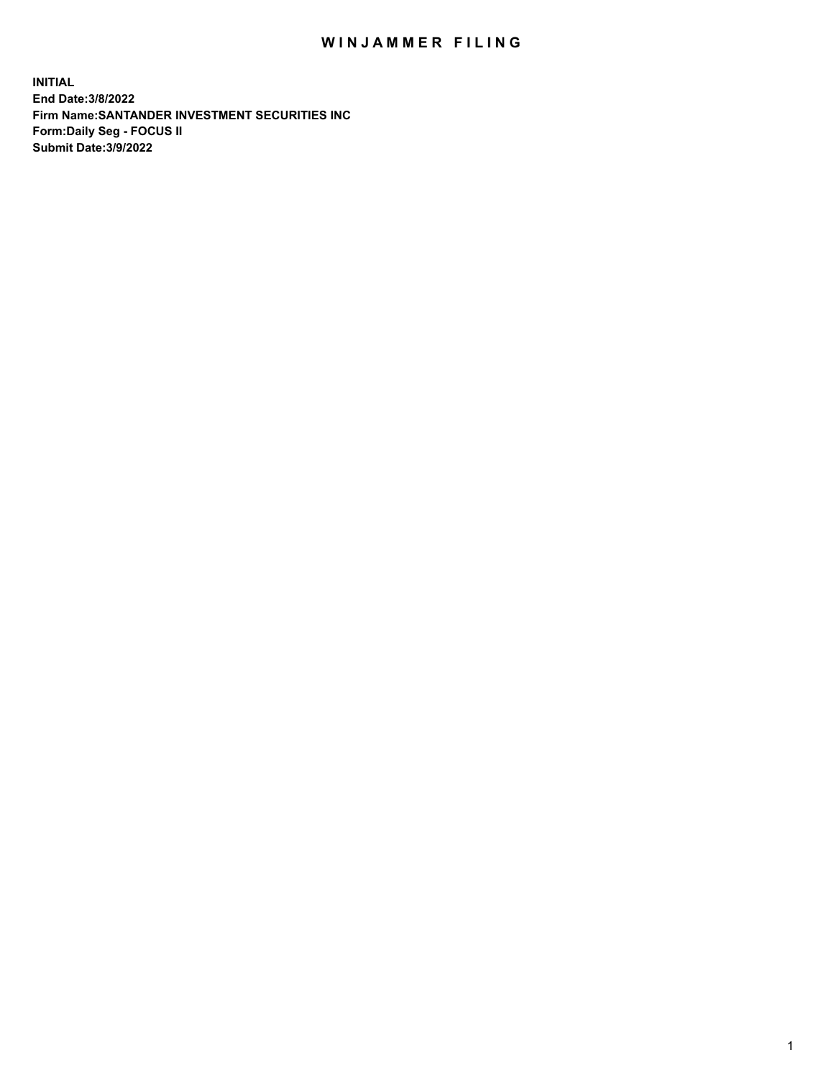## WIN JAMMER FILING

**INITIAL End Date:3/8/2022 Firm Name:SANTANDER INVESTMENT SECURITIES INC Form:Daily Seg - FOCUS II Submit Date:3/9/2022**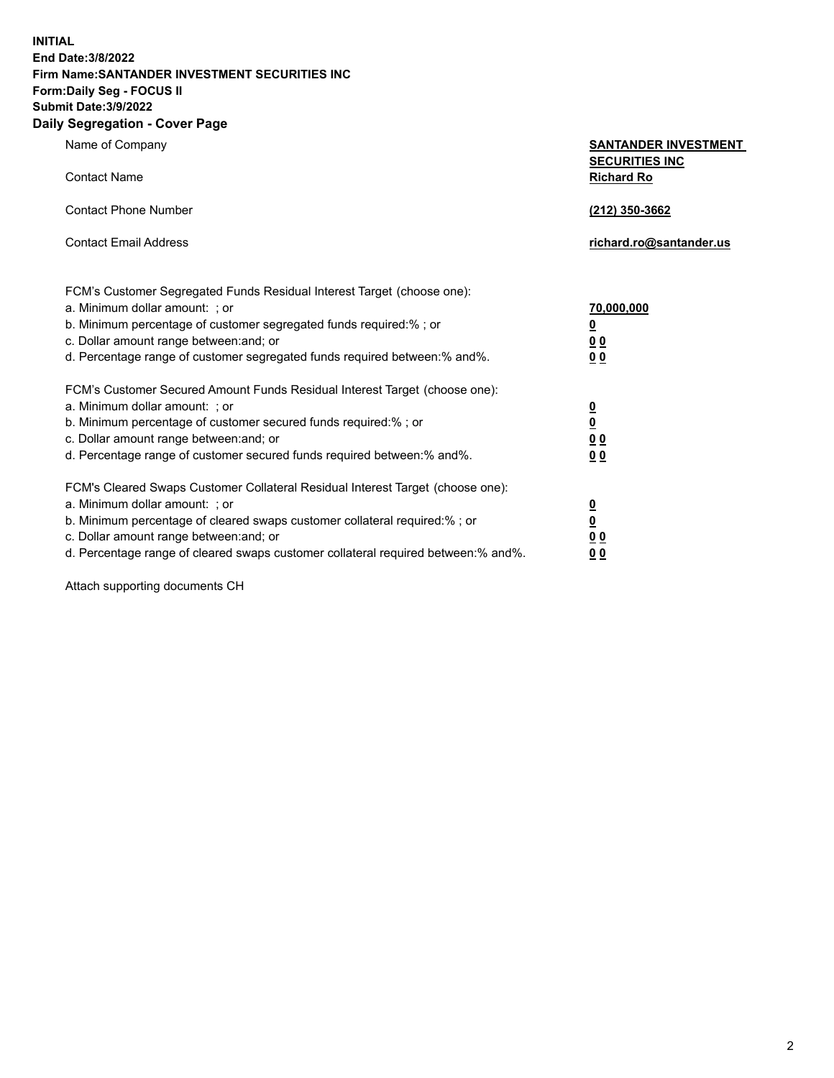**INITIAL End Date:3/8/2022 Firm Name:SANTANDER INVESTMENT SECURITIES INC Form:Daily Seg - FOCUS II Submit Date:3/9/2022 Daily Segregation - Cover Page**

| $-99.99$ and $-99.0$                                                              |                                                      |
|-----------------------------------------------------------------------------------|------------------------------------------------------|
| Name of Company                                                                   | <b>SANTANDER INVESTMENT</b><br><b>SECURITIES INC</b> |
| <b>Contact Name</b>                                                               | <b>Richard Ro</b>                                    |
| <b>Contact Phone Number</b>                                                       | (212) 350-3662                                       |
| <b>Contact Email Address</b>                                                      | richard.ro@santander.us                              |
| FCM's Customer Segregated Funds Residual Interest Target (choose one):            |                                                      |
| a. Minimum dollar amount: ; or                                                    | 70,000,000                                           |
| b. Minimum percentage of customer segregated funds required:% ; or                | $\overline{\mathbf{0}}$                              |
| c. Dollar amount range between: and; or                                           | 0 <sub>0</sub>                                       |
| d. Percentage range of customer segregated funds required between:% and%.         | 0 <sub>0</sub>                                       |
| FCM's Customer Secured Amount Funds Residual Interest Target (choose one):        |                                                      |
| a. Minimum dollar amount: ; or                                                    | $\frac{0}{0}$                                        |
| b. Minimum percentage of customer secured funds required:%; or                    |                                                      |
| c. Dollar amount range between: and; or                                           | 0 <sub>0</sub>                                       |
| d. Percentage range of customer secured funds required between:% and%.            | 0 <sub>0</sub>                                       |
| FCM's Cleared Swaps Customer Collateral Residual Interest Target (choose one):    |                                                      |
| a. Minimum dollar amount: ; or                                                    | $\overline{\mathbf{0}}$                              |
| b. Minimum percentage of cleared swaps customer collateral required:%; or         | $\underline{\mathbf{0}}$                             |
| c. Dollar amount range between: and; or                                           | 0 <sub>0</sub>                                       |
| d. Percentage range of cleared swaps customer collateral required between:% and%. | 0 <sub>0</sub>                                       |

Attach supporting documents CH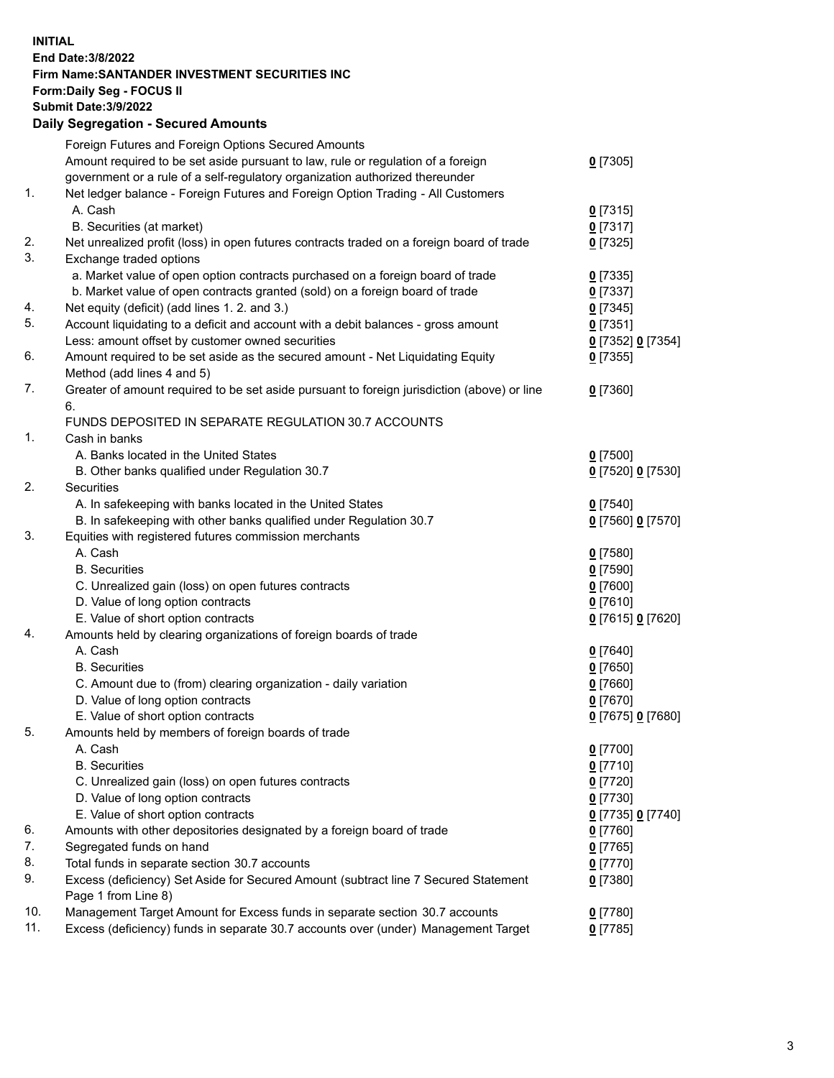## **INITIAL End Date:3/8/2022 Firm Name:SANTANDER INVESTMENT SECURITIES INC Form:Daily Seg - FOCUS II Submit Date:3/9/2022 Daily Segregation - Secured Amounts** Foreign Futures and Foreign Options Secured Amounts Amount required to be set aside pursuant to law, rule or regulation of a foreign government or a rule of a self-regulatory organization authorized thereunder 1. Net ledger balance - Foreign Futures and Foreign Option Trading - All Customers A. Cash **0** [7315] B. Securities (at market) **0** [7317] 2. Net unrealized profit (loss) in open futures contracts traded on a foreign board of trade **0** [7325] 3. Exchange traded options a. Market value of open option contracts purchased on a foreign board of trade **0** [7335] b. Market value of open contracts granted (sold) on a foreign board of trade **0** [7337] 4. Net equity (deficit) (add lines 1. 2. and 3.) **0** [7345] 5. Account liquidating to a deficit and account with a debit balances - gross amount **0** [7351]

Less: amount offset by customer owned securities **0** [7352] **0** [7354] 6. Amount required to be set aside as the secured amount - Net Liquidating Equity Method (add lines 4 and 5) **0** [7355] 7. Greater of amount required to be set aside pursuant to foreign jurisdiction (above) or line 6. **0** [7360] FUNDS DEPOSITED IN SEPARATE REGULATION 30.7 ACCOUNTS 1. Cash in banks A. Banks located in the United States **0** [7500] B. Other banks qualified under Regulation 30.7 **0** [7520] **0** [7530] 2. Securities A. In safekeeping with banks located in the United States **0** [7540] B. In safekeeping with other banks qualified under Regulation 30.7 **0** [7560] **0** [7570] 3. Equities with registered futures commission merchants A. Cash **0** [7580] B. Securities **0** [7590] C. Unrealized gain (loss) on open futures contracts **0** [7600] D. Value of long option contracts **0** [7610] E. Value of short option contracts **0** [7615] **0** [7620] 4. Amounts held by clearing organizations of foreign boards of trade A. Cash **0** [7640] B. Securities **0** [7650] C. Amount due to (from) clearing organization - daily variation **0** [7660] D. Value of long option contracts **0** [7670] E. Value of short option contracts **0** [7675] **0** [7680] 5. Amounts held by members of foreign boards of trade A. Cash **0** [7700] B. Securities **0** [7710] C. Unrealized gain (loss) on open futures contracts **0** [7720] D. Value of long option contracts **0** [7730] E. Value of short option contracts **0** [7735] **0** [7740] 6. Amounts with other depositories designated by a foreign board of trade **0** [7760] 7. Segregated funds on hand **0** [7765] 8. Total funds in separate section 30.7 accounts **0** [7770] 9. Excess (deficiency) Set Aside for Secured Amount (subtract line 7 Secured Statement Page 1 from Line 8) **0** [7380] 10. Management Target Amount for Excess funds in separate section 30.7 accounts **0** [7780] 11. Excess (deficiency) funds in separate 30.7 accounts over (under) Management Target **0** [7785]

**0** [7305]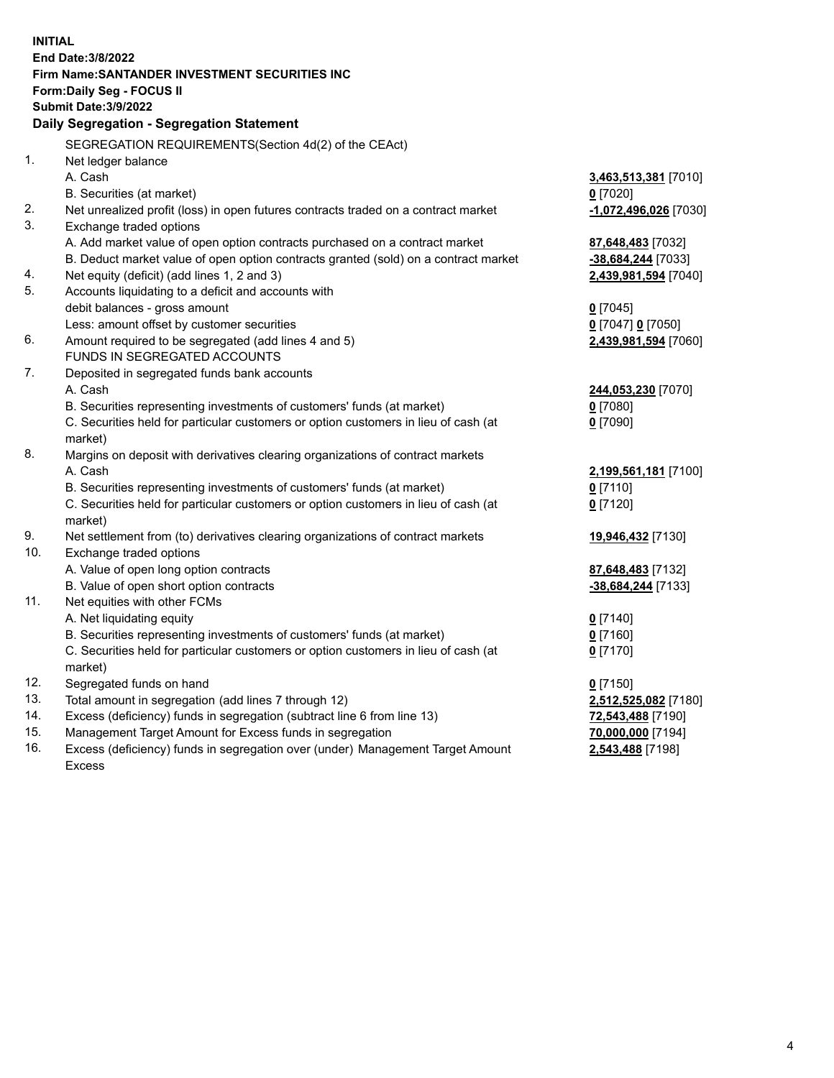| <b>INITIAL</b> | End Date: 3/8/2022<br>Firm Name: SANTANDER INVESTMENT SECURITIES INC<br><b>Form:Daily Seg - FOCUS II</b><br><b>Submit Date: 3/9/2022</b><br>Daily Segregation - Segregation Statement |                       |
|----------------|---------------------------------------------------------------------------------------------------------------------------------------------------------------------------------------|-----------------------|
|                | SEGREGATION REQUIREMENTS(Section 4d(2) of the CEAct)                                                                                                                                  |                       |
| 1.             | Net ledger balance                                                                                                                                                                    |                       |
|                | A. Cash                                                                                                                                                                               | 3,463,513,381 [7010]  |
|                | B. Securities (at market)                                                                                                                                                             | $0$ [7020]            |
| 2.             | Net unrealized profit (loss) in open futures contracts traded on a contract market                                                                                                    | -1,072,496,026 [7030] |
| 3.             | Exchange traded options                                                                                                                                                               |                       |
|                | A. Add market value of open option contracts purchased on a contract market                                                                                                           | 87,648,483 [7032]     |
|                | B. Deduct market value of open option contracts granted (sold) on a contract market                                                                                                   | -38,684,244 [7033]    |
| 4.             | Net equity (deficit) (add lines 1, 2 and 3)                                                                                                                                           | 2,439,981,594 [7040]  |
| 5.             | Accounts liquidating to a deficit and accounts with                                                                                                                                   |                       |
|                | debit balances - gross amount                                                                                                                                                         | $0$ [7045]            |
|                | Less: amount offset by customer securities                                                                                                                                            | 0 [7047] 0 [7050]     |
| 6.             | Amount required to be segregated (add lines 4 and 5)                                                                                                                                  | 2,439,981,594 [7060]  |
|                | FUNDS IN SEGREGATED ACCOUNTS                                                                                                                                                          |                       |
| 7.             | Deposited in segregated funds bank accounts                                                                                                                                           |                       |
|                | A. Cash                                                                                                                                                                               | 244,053,230 [7070]    |
|                | B. Securities representing investments of customers' funds (at market)                                                                                                                | $0$ [7080]            |
|                | C. Securities held for particular customers or option customers in lieu of cash (at                                                                                                   | $0$ [7090]            |
|                | market)                                                                                                                                                                               |                       |
| 8.             | Margins on deposit with derivatives clearing organizations of contract markets                                                                                                        |                       |
|                | A. Cash                                                                                                                                                                               | 2,199,561,181 [7100]  |
|                | B. Securities representing investments of customers' funds (at market)                                                                                                                | $0$ [7110]            |
|                | C. Securities held for particular customers or option customers in lieu of cash (at                                                                                                   | $0$ [7120]            |
| 9.             | market)                                                                                                                                                                               |                       |
| 10.            | Net settlement from (to) derivatives clearing organizations of contract markets<br>Exchange traded options                                                                            | 19,946,432 [7130]     |
|                | A. Value of open long option contracts                                                                                                                                                | 87,648,483 [7132]     |
|                | B. Value of open short option contracts                                                                                                                                               | -38,684,244 [7133]    |
| 11.            | Net equities with other FCMs                                                                                                                                                          |                       |
|                | A. Net liquidating equity                                                                                                                                                             | $0$ [7140]            |
|                | B. Securities representing investments of customers' funds (at market)                                                                                                                | $0$ [7160]            |
|                | C. Securities held for particular customers or option customers in lieu of cash (at                                                                                                   | $0$ [7170]            |
|                | market)                                                                                                                                                                               |                       |
| 12.            | Segregated funds on hand                                                                                                                                                              | $0$ [7150]            |
| 13.            | Total amount in segregation (add lines 7 through 12)                                                                                                                                  | 2,512,525,082 [7180]  |
| 14.            | Excess (deficiency) funds in segregation (subtract line 6 from line 13)                                                                                                               | 72,543,488 [7190]     |
| 15.            | Management Target Amount for Excess funds in segregation                                                                                                                              | 70,000,000 [7194]     |
| 16.            | Excess (deficiency) funds in segregation over (under) Management Target Amount                                                                                                        | 2,543,488 [7198]      |
|                | <b>Excess</b>                                                                                                                                                                         |                       |